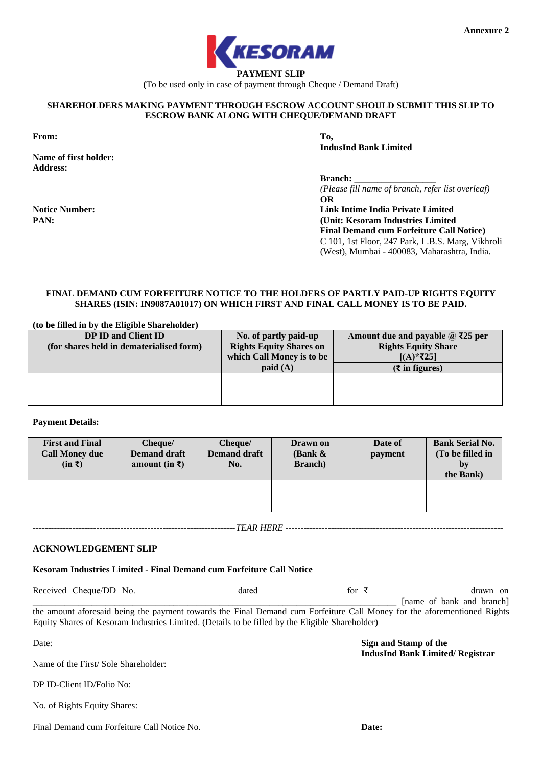

**(**To be used only in case of payment through Cheque / Demand Draft)

### **SHAREHOLDERS MAKING PAYMENT THROUGH ESCROW ACCOUNT SHOULD SUBMIT THIS SLIP TO ESCROW BANK ALONG WITH CHEQUE/DEMAND DRAFT**

**From: To,**

**PAN:**

**Name of first holder: Address:**

**Notice Number:**

**IndusInd Bank Limited**

**Branch:** 

*(Please fill name of branch, refer list overleaf)* **OR**

**Link Intime India Private Limited (Unit: Kesoram Industries Limited Final Demand cum Forfeiture Call Notice)** C 101, 1st Floor, 247 Park, L.B.S. Marg, Vikhroli (West), Mumbai - 400083, Maharashtra, India.

# **FINAL DEMAND CUM FORFEITURE NOTICE TO THE HOLDERS OF PARTLY PAID-UP RIGHTS EQUITY SHARES (ISIN: IN9087A01017) ON WHICH FIRST AND FINAL CALL MONEY IS TO BE PAID.**

| (to be filled in by the Eligible Shareholder) |                                |                                         |
|-----------------------------------------------|--------------------------------|-----------------------------------------|
| DP ID and Client ID                           | No. of partly paid-up          | Amount due and payable $\omega$ ₹25 per |
| (for shares held in dematerialised form)      | <b>Rights Equity Shares on</b> | <b>Rights Equity Share</b>              |
|                                               | which Call Money is to be      | $[(A)*25]$                              |
|                                               | $p$ aid $(A)$                  | $(\xi$ in figures)                      |
|                                               |                                |                                         |
|                                               |                                |                                         |
|                                               |                                |                                         |

### **Payment Details:**

| <b>First and Final</b><br><b>Call Money due</b><br>$(in \bar{z})$ | Cheque/<br><b>Demand draft</b><br>amount (in $\bar{x}$ ) | Cheque/<br><b>Demand draft</b><br>No. | Drawn on<br>(Bank $\&$<br><b>Branch</b> ) | Date of<br>payment | <b>Bank Serial No.</b><br>(To be filled in<br>by<br>the Bank) |
|-------------------------------------------------------------------|----------------------------------------------------------|---------------------------------------|-------------------------------------------|--------------------|---------------------------------------------------------------|
|                                                                   |                                                          |                                       |                                           |                    |                                                               |

*-------------------------------------------------------------------TEAR HERE ------------------------------------------------------------------------*

### **ACKNOWLEDGEMENT SLIP**

**Kesoram Industries Limited - Final Demand cum Forfeiture Call Notice**

Received Cheque/DD No. \_\_\_\_\_\_\_\_\_\_\_\_\_\_\_\_\_\_\_\_\_\_\_\_ dated \_\_\_\_\_\_\_\_\_\_\_\_\_\_\_\_\_\_\_\_\_\_\_\_\_\_ for ₹ \_\_\_\_\_\_\_\_\_\_\_\_\_\_\_\_ drawn on \_\_\_\_\_\_\_\_\_\_\_\_\_\_\_\_\_\_\_\_\_\_\_\_\_\_\_\_\_\_\_\_\_\_\_\_\_\_\_\_\_\_\_\_\_\_\_\_\_\_\_\_\_\_\_\_\_\_\_\_\_\_\_\_\_\_\_\_\_\_\_\_\_\_\_\_\_\_\_\_ [name of bank and branch] the amount aforesaid being the payment towards the Final Demand cum Forfeiture Call Money for the aforementioned Rights

Equity Shares of Kesoram Industries Limited. (Details to be filled by the Eligible Shareholder)

Date:

**Sign and Stamp of the IndusInd Bank Limited/ Registrar**

Final Demand cum Forfeiture Call Notice No.

Name of the First/ Sole Shareholder:

DP ID-Client ID/Folio No:

No. of Rights Equity Shares:

**Date:**